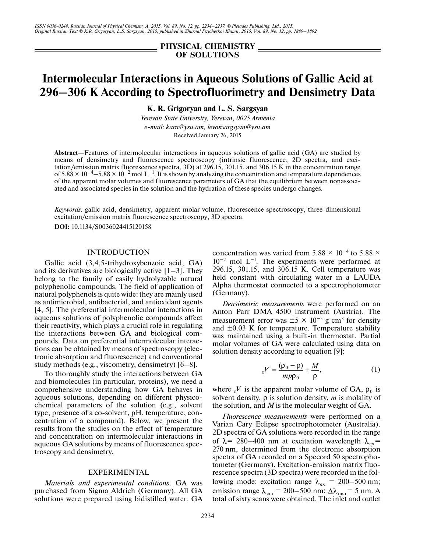*ISSN 0036-0244, Russian Journal of Physical Chemistry A, 2015, Vol. 89, No. 12, pp. 2234–2237. © Pleiades Publishing, Ltd., 2015. Original Russian Text © K.R. Grigoryan, L.S. Sargsyan, 2015, published in Zhurnal Fizicheskoi Khimii, 2015, Vol. 89, No. 12, pp. 1889–1892.*

> **PHYSICAL CHEMISTRY OF SOLUTIONS**

# **Intermolecular Interactions in Aqueous Solutions of Gallic Acid at 296–306 K According to Spectrofluorimetry and Densimetry Data**

**K. R. Grigoryan and L. S. Sargsyan**

*Yerevan State University, Yerevan, 0025 Armenia e-mail: kara@ysu.am, levonsargsyan@ysu.am* Received January 26, 2015

**Abstract**—Features of intermolecular interactions in aqueous solutions of gallic acid (GA) are studied by means of densimetry and fluorescence spectroscopy (intrinsic fluorescence, 2D spectra, and excitation/emission matrix fluorescence spectra, 3D) at 296.15, 301.15, and 306.15 K in the concentration range of  $5.88 \times 10^{-4}$ – $5.88 \times 10^{-2}$  mol L<sup>-1</sup>. It is shown by analyzing the concentration and temperature dependences of the apparent molar volumes and fluorescence parameters of GA that the equilibrium between nonassociated and associated species in the solution and the hydration of these species undergo changes.

*Keywords:* gallic acid, densimetry, apparent molar volume, fluorescence spectroscopy, three-dimensional excitation/emission matrix fluorescence spectroscopy, 3D spectra.

**DOI:** 10.1134/S0036024415120158

## INTRODUCTION

Gallic acid (3,4,5-trihydroxybenzoic acid, GA) and its derivatives are biologically active  $[1-3]$ . They belong to the family of easily hydrolyzable natural polyphenolic compounds. The field of application of natural polyphenols is quite wide: they are mainly used as antimicrobial, antibacterial, and antioxidant agents [4, 5]. The preferential intermolecular interactions in aqueous solutions of polyphenolic compounds affect their reactivity, which plays a crucial role in regulating the interactions between GA and biological compounds. Data on preferential intermolecular interactions can be obtained by means of spectroscopy (electronic absorption and fluorescence) and conventional study methods (e.g., viscometry, densimetry) [6–8].

To thoroughly study the interactions between GA and biomolecules (in particular, proteins), we need a comprehensive understanding how GA behaves in aqueous solutions, depending on different physicochemical parameters of the solution (e.g., solvent type, presence of a co-solvent, pH, temperature, concentration of a compound). Below, we present the results from the studies on the effect of temperature and concentration on intermolecular interactions in aqueous GA solutions by means of fluorescence spectroscopy and densimetry.

#### EXPERIMENTAL

*Materials and experimental conditions*. GA was purchased from Sigma Aldrich (Germany). All GA solutions were prepared using bidistilled water. GA concentration was varied from 5.88  $\times$  10<sup>-4</sup> to 5.88  $\times$  $10^{-2}$  mol L<sup>-1</sup>. The experiments were performed at 296.15, 301.15, and 306.15 K. Cell temperature was held constant with circulating water in a LAUDA Alpha thermostat connected to a spectrophotometer (Germany).

*Densimetric measurements* were performed on an Anton Parr DMA 4500 instrument (Austria). The measurement error was  $\pm 5 \times 10^{-5}$  g cm<sup>3</sup> for density and  $\pm 0.03$  K for temperature. Temperature stability was maintained using a built-in thermostat. Partial molar volumes of GA were calculated using data on solution density according to equation [9]:

$$
_{\varphi}V = \frac{(\rho_0 - \rho)}{mp\rho_0} + \frac{M}{\rho},\tag{1}
$$

where  $\phi$ *V* is the apparent molar volume of GA,  $\rho_0$  is solvent density,  $\rho$  is solution density, *m* is molality of the solution, and *M* is the molecular weight of GA.

*Fluorescence measurements* were performed on a Varian Cary Eclipse spectrophotometer (Australia). 2D spectra of GA solutions were recorded in the range of  $\lambda$  = 280–400 nm at excitation wavelength  $\lambda_{ex}$  = 270 nm, determined from the electronic absorption spectra of GA recorded on a Specord 50 spectrophotometer (Germany). Excitation-emission matrix fluorescence spectra (3D spectra) were recorded in the following mode: excitation range  $\lambda_{\rm ex} = 200 - 500$  nm; emission range  $\lambda_{em} = 200 - 500$  nm;  $\Delta \lambda_{incr} = 5$  nm. A total of sixty scans were obtained. The inlet and outlet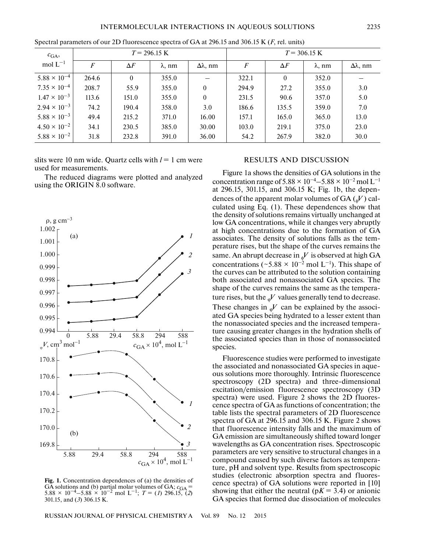| $c_{\text{GA}},$      | $T = 296.15 \text{ K}$ |            |                |                | $T = 306.15 \text{ K}$ |            |                |           |
|-----------------------|------------------------|------------|----------------|----------------|------------------------|------------|----------------|-----------|
| mol $L^{-1}$          | $\boldsymbol{F}$       | $\Delta F$ | $\lambda$ , nm | $Δλ$ , nm      | $\overline{F}$         | $\Delta F$ | $\lambda$ , nm | $Δλ$ , nm |
| $5.88 \times 10^{-4}$ | 264.6                  | $\Omega$   | 355.0          |                | 322.1                  | $\theta$   | 352.0          |           |
| $7.35 \times 10^{-4}$ | 208.7                  | 55.9       | 355.0          | $\theta$       | 294.9                  | 27.2       | 355.0          | 3.0       |
| $1.47 \times 10^{-3}$ | 113.6                  | 151.0      | 355.0          | $\overline{0}$ | 231.5                  | 90.6       | 357.0          | 5.0       |
| $2.94 \times 10^{-3}$ | 74.2                   | 190.4      | 358.0          | 3.0            | 186.6                  | 135.5      | 359.0          | 7.0       |
| $5.88 \times 10^{-3}$ | 49.4                   | 215.2      | 371.0          | 16.00          | 157.1                  | 165.0      | 365.0          | 13.0      |
| $4.50 \times 10^{-2}$ | 34.1                   | 230.5      | 385.0          | 30.00          | 103.0                  | 219.1      | 375.0          | 23.0      |
| $5.88 \times 10^{-2}$ | 31.8                   | 232.8      | 391.0          | 36.00          | 54.2                   | 267.9      | 382.0          | 30.0      |

Spectral parameters of our 2D fluorescence spectra of GA at 296.15 and 306.15 K (*F*, rel. units)

slits were 10 nm wide. Quartz cells with  $l = 1$  cm were used for measurements.

The reduced diagrams were plotted and analyzed using the ORIGIN 8.0 software.



Fig. 1. Concentration dependences of (a) the densities of GA solutions and (b) partial molar volumes of GA;  $c_{\text{GA}} = 5.88 \times 10^{-4} - 5.88 \times 10^{-2}$  mol L<sup>-1</sup>; *T* = (*1*) 296.15, (2) 301.15, and (*3*) 306.15 K.

## RESULTS AND DISCUSSION

Figure 1a shows the densities of GA solutions in the concentration range of  $5.88 \times 10^{-4} - 5.88 \times 10^{-2}$  mol L<sup>-1</sup> at 296.15, 301.15, and 306.15 K; Fig. 1b, the dependences of the apparent molar volumes of  $GA \left( \frac{1}{\phi} V \right)$  calculated using Eq. (1). These dependences show that the density of solutions remains virtually unchanged at low GA concentrations, while it changes very abruptly at high concentrations due to the formation of GA associates. The density of solutions falls as the temperature rises, but the shape of the curves remains the same. An abrupt decrease in  $_{\phi}V$  is observed at high GA concentrations (~5.88 × 10<sup>-2</sup> mol L<sup>-1</sup>). This shape of the curves can be attributed to the solution containing both associated and nonassociated GA species. The shape of the curves remains the same as the temperature rises, but the  $_{\varphi}V$  values generally tend to decrease. These changes in  $_{\varphi}V$  can be explained by the associated GA species being hydrated to a lesser extent than the nonassociated species and the increased temperature causing greater changes in the hydration shells of the associated species than in those of nonassociated species.

Fluorescence studies were performed to investigate the associated and nonassociated GA species in aqueous solutions more thoroughly. Intrinsic fluorescence spectroscopy (2D spectra) and three-dimensional excitation/emission fluorescence spectroscopy (3D spectra) were used. Figure 2 shows the 2D fluorescence spectra of GA as functions of concentration; the table lists the spectral parameters of 2D fluorescence spectra of GA at 296.15 and 306.15 K. Figure 2 shows that fluorescence intensity falls and the maximum of GA emission are simultaneously shifted toward longer wavelengths as GA concentration rises. Spectroscopic parameters are very sensitive to structural changes in a compound caused by such diverse factors as temperature, pH and solvent type. Results from spectroscopic studies (electronic absorption spectra and fluorescence spectra) of GA solutions were reported in [10] showing that either the neutral ( $pK = 3.4$ ) or anionic GA species that formed due dissociation of molecules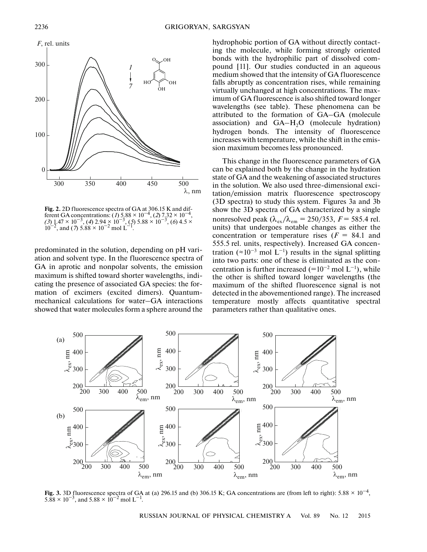

**Fig. 2.** 2D fluorescence spectra of GA at 306.15 K and different GA concentrations: (*1*) 5.88 × 10<sup>−4</sup>, (*2*) 7.32 × 10<sup>−4</sup>, *(3*) 1.47 × 10−3, (*4*) 2.94 × 10−3, (*5*) 5.88 × 10−3, (*6*) 4.5 ×  $10^{-2}$ , and (7) 5.88 × 10<sup>-2</sup> mol L<sup>-1</sup>.

predominated in the solution, depending on pH variation and solvent type. In the fluorescence spectra of GA in aprotic and nonpolar solvents, the emission maximum is shifted toward shorter wavelengths, indicating the presence of associated GA species: the formation of excimers (excited dimers). Quantummechanical calculations for water–GA interactions showed that water molecules form a sphere around the hydrophobic portion of GA without directly contacting the molecule, while forming strongly oriented bonds with the hydrophilic part of dissolved compound [11]. Our studies conducted in an aqueous medium showed that the intensity of GA fluorescence falls abruptly as concentration rises, while remaining virtually unchanged at high concentrations. The maximum of GA fluorescence is also shifted toward longer wavelengths (see table). These phenomena can be attributed to the formation of GA–GA (molecule association) and  $GA-H<sub>2</sub>O$  (molecule hydration) hydrogen bonds. The intensity of fluorescence increases with temperature, while the shift in the emission maximum becomes less pronounced.

This change in the fluorescence parameters of GA can be explained both by the change in the hydration state of GA and the weakening of associated structures in the solution. We also used three-dimensional excitation/emission matrix fluorescence spectroscopy (3D spectra) to study this system. Figures 3a and 3b show the 3D spectra of GA characterized by a single nonresolved peak  $(\lambda_{ex}/\lambda_{em} = 250/353, F = 585.4$  rel. units) that undergoes notable changes as either the concentration or temperature rises  $(F = 84.1$  and 555.5 rel. units, respectively). Increased GA concentration (≈10<sup>-3</sup> mol L<sup>-1</sup>) results in the signal splitting into two parts: one of these is eliminated as the concentration is further increased (= $10^{-2}$  mol L<sup>-1</sup>), while the other is shifted toward longer wavelengths (the maximum of the shifted fluorescence signal is not detected in the abovementioned range). The increased temperature mostly affects quantitative spectral parameters rather than qualitative ones.



**Fig. 3.** 3D fluorescence spectra of GA at (a) 296.15 and (b) 306.15 K; GA concentrations are (from left to right): 5.88 × 10−4,  $5.88 \times 10^{-3}$ , and  $5.88 \times 10^{-2}$  mol L<sup>-1</sup>.